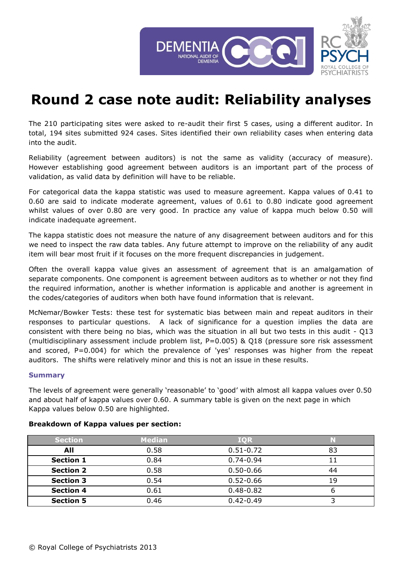

## **Round 2 case note audit: Reliability analyses**

The 210 participating sites were asked to re-audit their first 5 cases, using a different auditor. In total, 194 sites submitted 924 cases. Sites identified their own reliability cases when entering data into the audit.

Reliability (agreement between auditors) is not the same as validity (accuracy of measure). However establishing good agreement between auditors is an important part of the process of validation, as valid data by definition will have to be reliable.

For categorical data the kappa statistic was used to measure agreement. Kappa values of 0.41 to 0.60 are said to indicate moderate agreement, values of 0.61 to 0.80 indicate good agreement whilst values of over 0.80 are very good. In practice any value of kappa much below 0.50 will indicate inadequate agreement.

The kappa statistic does not measure the nature of any disagreement between auditors and for this we need to inspect the raw data tables. Any future attempt to improve on the reliability of any audit item will bear most fruit if it focuses on the more frequent discrepancies in judgement.

Often the overall kappa value gives an assessment of agreement that is an amalgamation of separate components. One component is agreement between auditors as to whether or not they find the required information, another is whether information is applicable and another is agreement in the codes/categories of auditors when both have found information that is relevant.

McNemar/Bowker Tests: these test for systematic bias between main and repeat auditors in their responses to particular questions. A lack of significance for a question implies the data are consistent with there being no bias, which was the situation in all but two tests in this audit - Q13 (multidisciplinary assessment include problem list, P=0.005) & Q18 (pressure sore risk assessment and scored, P=0.004) for which the prevalence of 'yes' responses was higher from the repeat auditors. The shifts were relatively minor and this is not an issue in these results.

## **Summary**

The levels of agreement were generally 'reasonable' to 'good' with almost all kappa values over 0.50 and about half of kappa values over 0.60. A summary table is given on the next page in which Kappa values below 0.50 are highlighted.

| <b>Section</b>   | <b>Median</b> | <b>IQR</b>    |    |
|------------------|---------------|---------------|----|
| All              | 0.58          | $0.51 - 0.72$ | 83 |
| <b>Section 1</b> | 0.84          | $0.74 - 0.94$ |    |
| <b>Section 2</b> | 0.58          | $0.50 - 0.66$ | 44 |
| <b>Section 3</b> | 0.54          | $0.52 - 0.66$ | 19 |
| <b>Section 4</b> | 0.61          | $0.48 - 0.82$ | O  |
| <b>Section 5</b> | 0.46          | $0.42 - 0.49$ |    |

## **Breakdown of Kappa values per section:**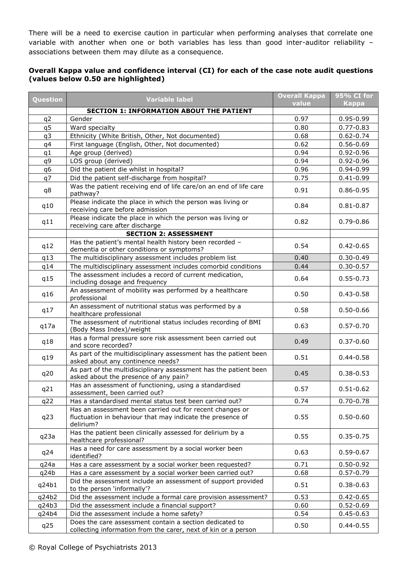There will be a need to exercise caution in particular when performing analyses that correlate one variable with another when one or both variables has less than good inter-auditor reliability associations between them may dilute as a consequence.

## **Overall Kappa value and confidence interval (CI) for each of the case note audit questions (values below 0.50 are highlighted)**

| Question | <b>Variable label</b>                                                                                                               | <b>Overall Kappa</b><br>value | 95% CI for<br><b>Kappa</b> |
|----------|-------------------------------------------------------------------------------------------------------------------------------------|-------------------------------|----------------------------|
|          | <b>SECTION 1: INFORMATION ABOUT THE PATIENT</b>                                                                                     |                               |                            |
| q2       | Gender                                                                                                                              | 0.97                          | $0.95 - 0.99$              |
| q5       | Ward specialty                                                                                                                      | 0.80                          | $0.77 - 0.83$              |
| q3       | Ethnicity (White British, Other, Not documented)                                                                                    | 0.68                          | $0.62 - 0.74$              |
| q4       | First language (English, Other, Not documented)                                                                                     | 0.62                          | $0.56 - 0.69$              |
| q1       | Age group (derived)                                                                                                                 | 0.94                          | $0.92 - 0.96$              |
| q9       | LOS group (derived)                                                                                                                 | 0.94                          | $0.92 - 0.96$              |
| q6       | Did the patient die whilst in hospital?                                                                                             | 0.96                          | 0.94-0.99                  |
| q7       | Did the patient self-discharge from hospital?                                                                                       | 0.75                          | $0.41 - 0.99$              |
| q8       | Was the patient receiving end of life care/on an end of life care<br>pathway?                                                       | 0.91                          | $0.86 - 0.95$              |
| q10      | Please indicate the place in which the person was living or<br>receiving care before admission                                      | 0.84                          | $0.81 - 0.87$              |
| q11      | Please indicate the place in which the person was living or<br>receiving care after discharge                                       | 0.82                          | $0.79 - 0.86$              |
|          | <b>SECTION 2: ASSESSMENT</b>                                                                                                        |                               |                            |
| q12      | Has the patient's mental health history been recorded -<br>dementia or other conditions or symptoms?                                | 0.54                          | $0.42 - 0.65$              |
| q13      | The multidisciplinary assessment includes problem list                                                                              | 0.40                          | $0.30 - 0.49$              |
| q14      | The multidisciplinary assessment includes comorbid conditions                                                                       | 0.44                          | $0.30 - 0.57$              |
| q15      | The assessment includes a record of current medication,<br>including dosage and frequency                                           | 0.64                          | $0.55 - 0.73$              |
| q16      | An assessment of mobility was performed by a healthcare<br>professional                                                             | 0.50                          | $0.43 - 0.58$              |
| q17      | An assessment of nutritional status was performed by a<br>healthcare professional                                                   | 0.58                          | $0.50 - 0.66$              |
| q17a     | The assessment of nutritional status includes recording of BMI<br>(Body Mass Index)/weight                                          | 0.63                          | $0.57 - 0.70$              |
| q18      | Has a formal pressure sore risk assessment been carried out<br>and score recorded?                                                  | 0.49                          | $0.37 - 0.60$              |
| q19      | As part of the multidisciplinary assessment has the patient been<br>asked about any continence needs?                               | 0.51                          | $0.44 - 0.58$              |
| q20      | As part of the multidisciplinary assessment has the patient been<br>asked about the presence of any pain?                           | 0.45                          | $0.38 - 0.53$              |
| q21      | Has an assessment of functioning, using a standardised<br>assessment, been carried out?                                             | 0.57                          | $0.51 - 0.62$              |
| q22      | Has a standardised mental status test been carried out?                                                                             | 0.74                          | $0.70 - 0.78$              |
| q23      | Has an assessment been carried out for recent changes or<br>fluctuation in behaviour that may indicate the presence of<br>delirium? | 0.55                          | $0.50 - 0.60$              |
| q23a     | Has the patient been clinically assessed for delirium by a<br>healthcare professional?                                              | 0.55                          | $0.35 - 0.75$              |
| q24      | Has a need for care assessment by a social worker been<br>identified?                                                               | 0.63                          | $0.59 - 0.67$              |
| q24a     | Has a care assessment by a social worker been requested?                                                                            | 0.71                          | $0.50 - 0.92$              |
| q24b     | Has a care assessment by a social worker been carried out?                                                                          | 0.68                          | $0.57 - 0.79$              |
| q24b1    | Did the assessment include an assessment of support provided<br>to the person 'informally'?                                         | 0.51                          | $0.38 - 0.63$              |
| q24b2    | Did the assessment include a formal care provision assessment?                                                                      | 0.53                          | $0.42 - 0.65$              |
| q24b3    | Did the assessment include a financial support?                                                                                     | 0.60                          | $0.52 - 0.69$              |
| q24b4    | Did the assessment include a home safety?                                                                                           | 0.54                          | $0.45 - 0.63$              |
| q25      | Does the care assessment contain a section dedicated to<br>collecting information from the carer, next of kin or a person           | 0.50                          | $0.44 - 0.55$              |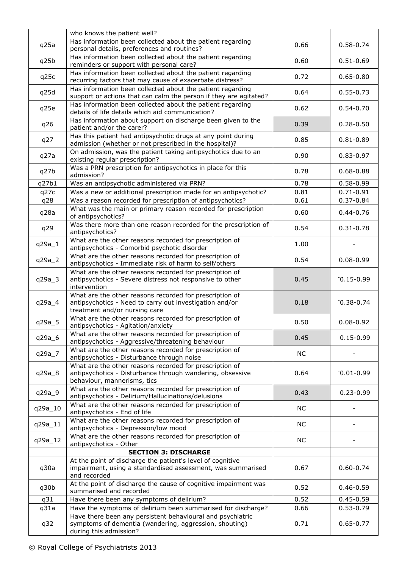|          | who knows the patient well?                                                                                                                         |           |                |
|----------|-----------------------------------------------------------------------------------------------------------------------------------------------------|-----------|----------------|
| q25a     | Has information been collected about the patient regarding<br>personal details, preferences and routines?                                           | 0.66      | $0.58 - 0.74$  |
| q25b     | Has information been collected about the patient regarding<br>reminders or support with personal care?                                              | 0.60      | $0.51 - 0.69$  |
| q25c     | Has information been collected about the patient regarding<br>recurring factors that may cause of exacerbate distress?                              | 0.72      | $0.65 - 0.80$  |
| q25d     | Has information been collected about the patient regarding<br>support or actions that can calm the person if they are agitated?                     | 0.64      | $0.55 - 0.73$  |
| q25e     | Has information been collected about the patient regarding<br>details of life details which aid communication?                                      | 0.62      | $0.54 - 0.70$  |
| q26      | Has information about support on discharge been given to the<br>patient and/or the carer?                                                           | 0.39      | $0.28 - 0.50$  |
| q27      | Has this patient had antipsychotic drugs at any point during<br>admission (whether or not prescribed in the hospital)?                              | 0.85      | $0.81 - 0.89$  |
| q27a     | On admission, was the patient taking antipsychotics due to an<br>existing regular prescription?                                                     | 0.90      | $0.83 - 0.97$  |
| q27b     | Was a PRN prescription for antipsychotics in place for this<br>admission?                                                                           | 0.78      | $0.68 - 0.88$  |
| q27b1    | Was an antipsychotic administered via PRN?                                                                                                          | 0.78      | $0.58 - 0.99$  |
| q27c     | Was a new or additional prescription made for an antipsychotic?                                                                                     | 0.81      | $0.71 - 0.91$  |
| q28      | Was a reason recorded for prescription of antipsychotics?                                                                                           | 0.61      | $0.37 - 0.84$  |
| q28a     | What was the main or primary reason recorded for prescription<br>of antipsychotics?                                                                 | 0.60      | $0.44 - 0.76$  |
| q29      | Was there more than one reason recorded for the prescription of<br>antipsychotics?                                                                  | 0.54      | $0.31 - 0.78$  |
| $q29a_1$ | What are the other reasons recorded for prescription of<br>antipsychotics - Comorbid psychotic disorder                                             | 1.00      |                |
| q29a_2   | What are the other reasons recorded for prescription of<br>antipsychotics - Immediate risk of harm to self/others                                   | 0.54      | $0.08 - 0.99$  |
| $q29a_3$ | What are the other reasons recorded for prescription of<br>antipsychotics - Severe distress not responsive to other<br>intervention                 | 0.45      | $0.15 - 0.99$  |
| q29a_4   | What are the other reasons recorded for prescription of<br>antipsychotics - Need to carry out investigation and/or<br>treatment and/or nursing care | 0.18      | $-0.38 - 0.74$ |
| q29a_5   | What are the other reasons recorded for prescription of<br>antipsychotics - Agitation/anxiety                                                       | 0.50      | $0.08 - 0.92$  |
| q29a_6   | What are the other reasons recorded for prescription of<br>antipsychotics - Aggressive/threatening behaviour                                        | 0.45      | $0.15 - 0.99$  |
| q29a_7   | What are the other reasons recorded for prescription of<br>antipsychotics - Disturbance through noise                                               | <b>NC</b> |                |
| q29a 8   | What are the other reasons recorded for prescription of<br>antipsychotics - Disturbance through wandering, obsessive<br>behaviour, mannerisms, tics | 0.64      | $0.01 - 0.99$  |
| q29a_9   | What are the other reasons recorded for prescription of<br>antipsychotics - Delirium/Hallucinations/delusions                                       | 0.43      | $0.23 - 0.99$  |
| q29a_10  | What are the other reasons recorded for prescription of<br>antipsychotics - End of life                                                             | <b>NC</b> |                |
| q29a_11  | What are the other reasons recorded for prescription of<br>antipsychotics - Depression/low mood                                                     | <b>NC</b> |                |
| q29a_12  | What are the other reasons recorded for prescription of<br>antipsychotics - Other                                                                   | <b>NC</b> |                |
|          | <b>SECTION 3: DISCHARGE</b>                                                                                                                         |           |                |
| q30a     | At the point of discharge the patient's level of cognitive<br>impairment, using a standardised assessment, was summarised<br>and recorded           | 0.67      | $0.60 - 0.74$  |
| q30b     | At the point of discharge the cause of cognitive impairment was<br>summarised and recorded                                                          | 0.52      | $0.46 - 0.59$  |
| q31      | Have there been any symptoms of delirium?                                                                                                           | 0.52      | $0.45 - 0.59$  |
| q31a     | Have the symptoms of delirium been summarised for discharge?                                                                                        | 0.66      | $0.53 - 0.79$  |
| q32      | Have there been any persistent behavioural and psychiatric<br>symptoms of dementia (wandering, aggression, shouting)<br>during this admission?      | 0.71      | $0.65 - 0.77$  |